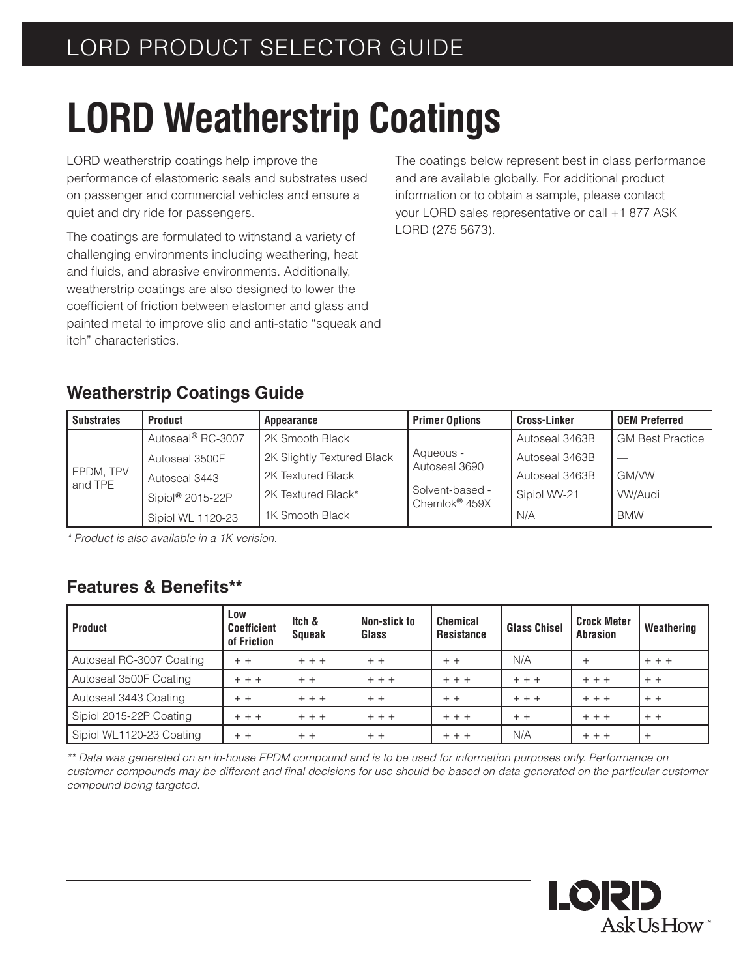## **LORD Weatherstrip Coatings**

LORD weatherstrip coatings help improve the performance of elastomeric seals and substrates used on passenger and commercial vehicles and ensure a quiet and dry ride for passengers.

The coatings are formulated to withstand a variety of challenging environments including weathering, heat and fluids, and abrasive environments. Additionally, weatherstrip coatings are also designed to lower the coefficient of friction between elastomer and glass and painted metal to improve slip and anti-static "squeak and itch" characteristics.

The coatings below represent best in class performance and are available globally. For additional product information or to obtain a sample, please contact your LORD sales representative or call +1 877 ASK LORD (275 5673).

## **Weatherstrip Coatings Guide**

| <b>Substrates</b>    | <b>Product</b>                | Appearance                 | <b>Primer Options</b>                        | <b>Cross-Linker</b> | <b>OEM Preferred</b>    |  |
|----------------------|-------------------------------|----------------------------|----------------------------------------------|---------------------|-------------------------|--|
| EPDM, TPV<br>and TPE | Autoseal <sup>®</sup> RC-3007 | 2K Smooth Black            |                                              | Autoseal 3463B      | <b>GM Best Practice</b> |  |
|                      | Autoseal 3500F                | 2K Slightly Textured Black | Aqueous -<br>Autoseal 3690                   | Autoseal 3463B      |                         |  |
|                      | Autoseal 3443                 | 2K Textured Black          |                                              | Autoseal 3463B      | <b>GM/VW</b>            |  |
|                      | Sipiol® 2015-22P              | 2K Textured Black*         | Solvent-based -<br>Chemlok <sup>®</sup> 459X | Sipiol WV-21        | VW/Audi                 |  |
|                      | Sipiol WL 1120-23             | 1K Smooth Black            |                                              | N/A                 | <b>BMW</b>              |  |

*\* Product is also available in a 1K verision.*

## **Features & Benefits\*\***

| <b>Product</b>           | Low<br><b>Coefficient</b><br>of Friction | Itch &<br><b>Squeak</b> | Non-stick to<br>Glass | <b>Chemical</b><br><b>Resistance</b> | <b>Glass Chisel</b> | <b>Crock Meter</b><br><b>Abrasion</b> | Weathering |
|--------------------------|------------------------------------------|-------------------------|-----------------------|--------------------------------------|---------------------|---------------------------------------|------------|
| Autoseal RC-3007 Coating | $+ +$                                    | $+ + +$                 | $+ +$                 | $+ +$                                | N/A                 | $\ddot{}$                             | $+ + +$    |
| Autoseal 3500F Coating   | $+ + +$                                  | $+ +$                   | $+ + +$               | $+ + +$                              | $+ + +$             | $+ + +$                               | $+ +$      |
| Autoseal 3443 Coating    | $+ +$                                    | $+ + +$                 | $+ +$                 | $+ +$                                | $+ + +$             | $+ + +$                               | $+ +$      |
| Sipiol 2015-22P Coating  | $+ + +$                                  | $+ + +$                 | $+ + +$               | $+ + +$                              | $+ +$               | $+ + +$                               | $+ +$      |
| Sipiol WL1120-23 Coating | $+ +$                                    | $+ +$                   | $+ +$                 | $+ + +$                              | N/A                 | $+ + +$                               | $^{+}$     |

*\*\* Data was generated on an in-house EPDM compound and is to be used for information purposes only. Performance on*  customer compounds may be different and final decisions for use should be based on data generated on the particular customer *compound being targeted.*